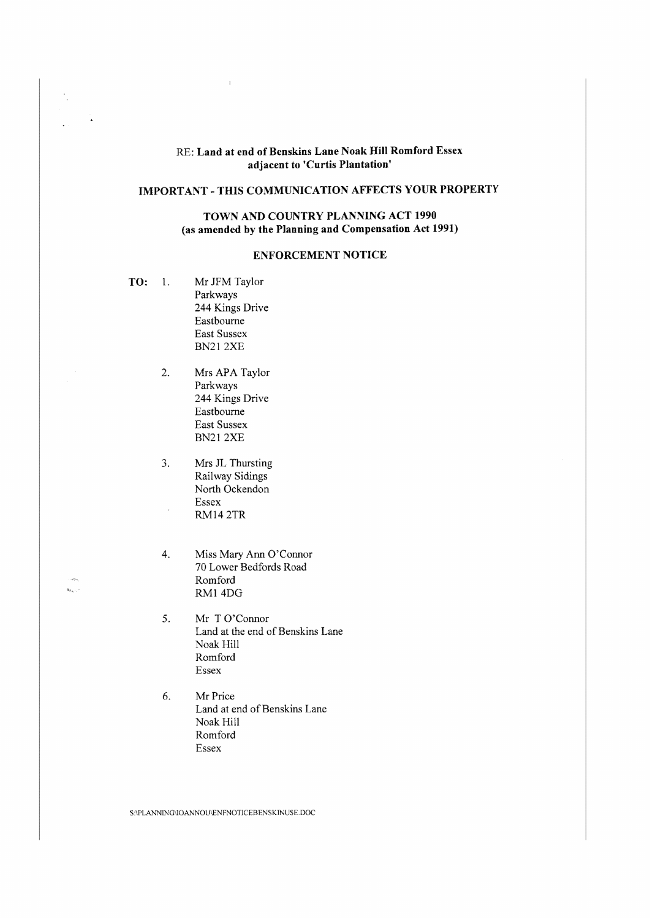### RE: Land at end of Benskins Lane Noak Hill Romford Essex adjacent to 'Curtis Plantation'

# **IMPORTANT** - **THIS COMMUNICATJON AFFECTS YOUR PROPERTY**

# **TOWN AND COUNTRY PLANNING ACT 1990 (as amended by the Planning and Compensation Act 1991)**

### **ENFORCEMENT NOTICE**

- **TO:** 1. Mr JFM Taylor Parkways 244 Kings Drive Eastbourne East Sussex BN21 2XE
	- 2. Mrs APA Taylor Parkways 244 Kings Drive Eastbourne Fast Sussex BN212XE
	- 3. Mrs JL Thursting Railway Sidings North Ockendon Essex RM14 2 TR

 $\mathbf{b}_{k+1}$ 

- 4. Miss Mary Ann O'Connor 70 Lower Bedfords Road Romford RMI 4DG
- 5. Mr T O'Connor Land at the end of Benskins Lane Noak Hill Romford Essex
- 6. Mr Price Land at end of Benskins Lane Noak Hill Romford Essex

S:\PLANNING\IOANNOU\ENFNOTICEBENSKINUSE.DOC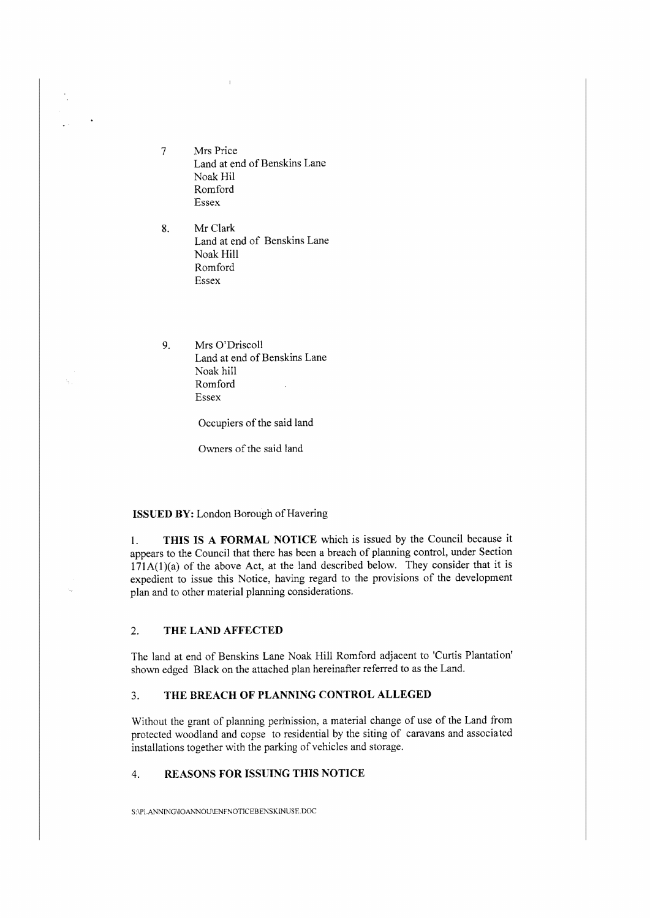- 7 Mrs Price Land at end of Benskins Lane Noak Hi! Romford Essex
- 8. Mr Clark Land at end of Benskins Lane Noak Hill Romford Essex
- 9. Mrs O'Driscoll Land at end of Benskins Lane Noak hill Romford Essex

Occupiers of the said land

Owners of the said land

#### **ISSUED BY:** London Borough of Havering

I. **THIS IS A FORMAL NOTICE** which is issued by the Council because it appears to the Council that there has been a breach of planning control, under Section  $171A(1)(a)$  of the above Act, at the land described below. They consider that it is expedient to issue this Notice, having regard to the provisions of the development plan and to other material planning considerations.

# 2. **THE LAND AFFECTED**

The land at end of Benskins Lane Noak Hill Romford adjacent to 'Curtis Plantation' shown edged Black on the attached plan hereinafter referred to as the Land.

### 3. **THE BREACH OF PLANNING CONTROL ALLEGED**

Without the grant of planning permission, a material change of use of the Land from protected woodland and copse to residential by the siting of caravans and associated installations together with the parking of vehicles and storage.

### 4. **REASONS FOR ISSUING THIS NOTICE**

S:\PLANNING\IOANNOU\ENFNOTICEBENSKINUSE.DOC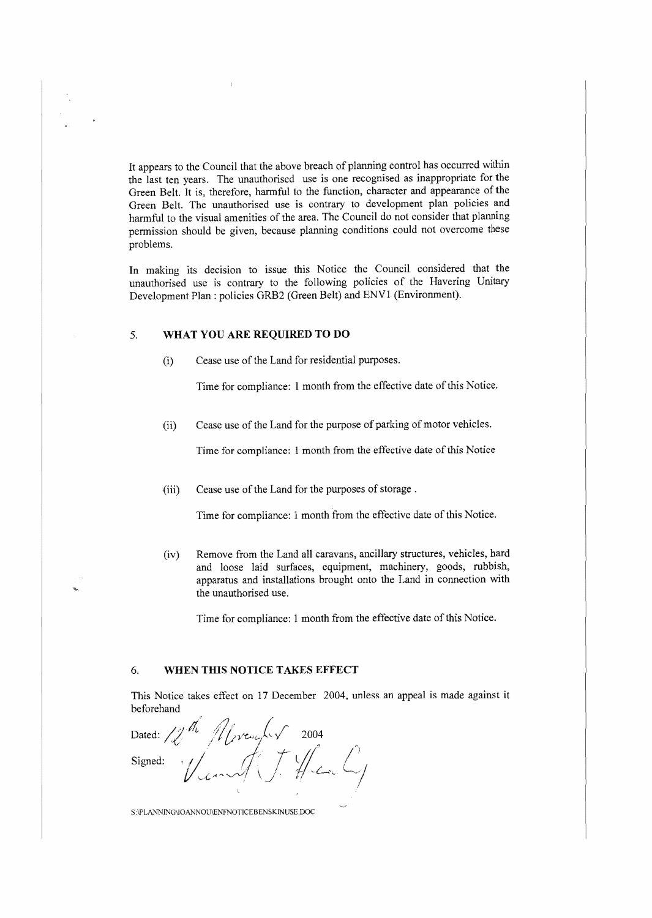It appears to the Council that the above breach of planning control has occurred within the last ten years. The unauthorised use is one recognised as inappropriate for the Green Belt. It is, therefore, harmful to the function, character and appearance of the Green Belt. The unauthorised use is contrary to development plan policies and harmful to the visual amenities of the area. The Council do not consider that planning permission should be given, because planning conditions could not overcome these problems.

In making its decision to issue this Notice the Council considered that the unauthorised use is contrary to the following policies of the Havering Unitary Development Plan: policies GRB2 (Green Belt) and ENVl (Environment).

#### 5. **WHAT YOU ARE REQUIRED TO DO**

(i) Cease use of the Land for residential purposes.

Time for compliance: 1 month from the effective date of this Notice.

(ii) Cease use of the Land for the purpose of parking of motor vehicles.

Time for compliance: 1 month from the effective date of this Notice

(iii) Cease use of the Land for the purposes of storage.

Time for compliance: 1 month from the effective date of this Notice.

(iv) Remove from the Land all caravans, ancillary structures, vehicles, hard and loose laid surfaces, equipment, machinery, goods, rubbish, apparatus and installations brought onto the Land in connection with the unauthorised use.

Time for compliance: 1 month from the effective date of this Notice.

### 6. **WHEN THIS NOTICE TAKES EFFECT**

This Notice takes effect on 17 December 2004, unless an appeal is made against it beforehand

Dated: 12<sup>th</sup> Mrvenber 2004<br>Signed: 1/1.

S:\PLANNING\IOANNOU\ENFNOTJCEBENSKINUSE.DOC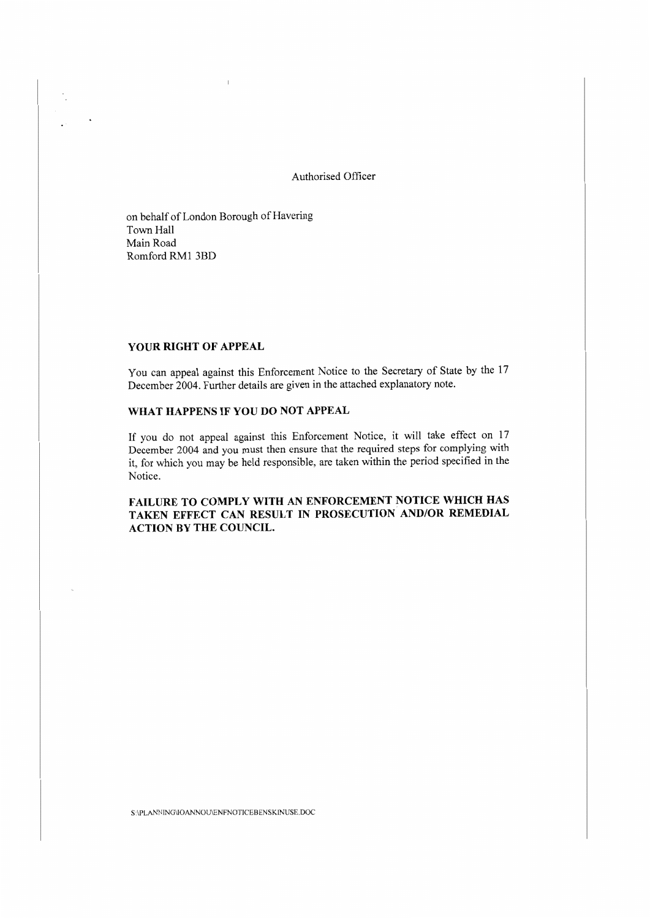Authorised Officer

on behalf of London Borough of Havering Town Hall Main Road Romford RMl 3BD

### **YOUR RIGHT OF APPEAL**

 $\ddot{\phantom{a}}$ 

You can appeal against this Enforcement Notice to the Secretary of State by the 17 December 2004. Further details are given in the attached explanatory note.

### **WHAT HAPPENS IF YOU DO NOT APPEAL**

If you do not appeal against this Enforcement Notice, it will take effect on 17 December 2004 and you must then ensure that the required steps for complying with it, for which you may be held responsible, are taken within the period specified in the Notice.

# FAILURE TO COMPLY WITH AN ENFORCEMENT NOTICE WHICH HAS **TAKEN EFFECT CAN RESULT IN PROSECUTION AND/OR REMEDIAL ACTION BY THE COUNCIL**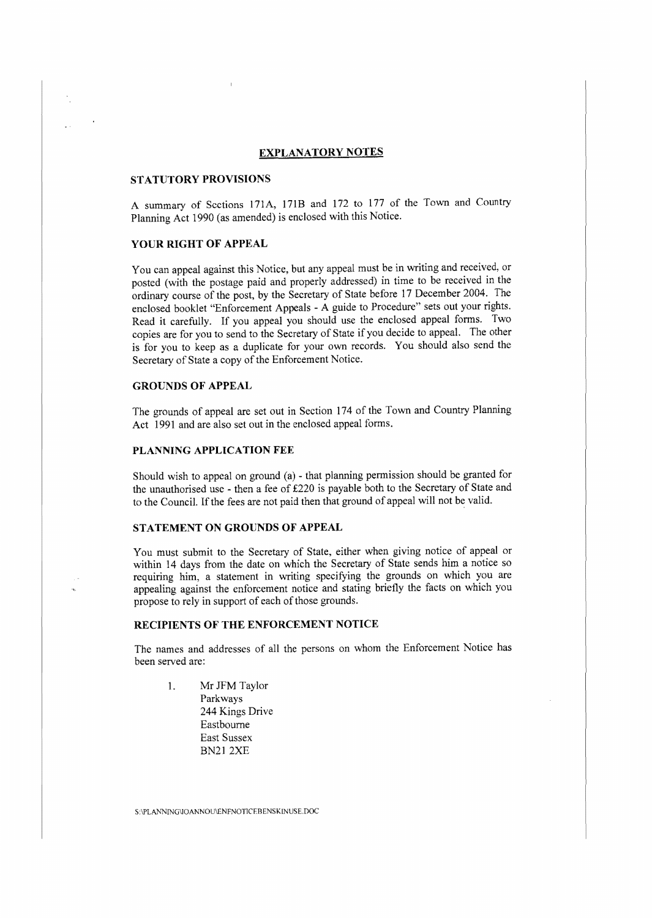### **EXPLANATORY NOTES**

#### **STATUTORY PROVISIONS**

A summary of Sections 171A, 171B and 172 to 177 of the Town and Country Planning Act 1990 (as amended) is enclosed with this Notice.

#### **YOUR RIGHT OF APPEAL**

You can appeal against this Notice, but any appeal must be in writing and received, or posted (with the postage paid and properly addressed) in time to be received in the ordinary course of the post, by the Secretary of State before 17 December 2004. The enclosed booklet "Enforcement Appeals - A guide to Procedure" sets out your rights. Read it carefully. If you appeal you should use the enclosed appeal forms. Two copies are for you to send to the Secretary of State if you decide to appeal. The other is for you to keep as a duplicate for your own records. You should also send the Secretary of State a copy of the Enforcement Notice.

#### **GROUNDS OF APPEAL**

The grounds of appeal are set out in Section 174 of the Town and Country Planning Act 1991 and are also set out in the enclosed appeal forms.

#### **PLANNING APPLICATION FEE**

Should wish to appeal on ground (a) - that planning permission should be granted for the unauthorised use - then a fee of £220 is payable both to the Secretary of State and to the Council. If the fees are not paid then that ground of appeal will not be valid.

#### **STATEMENT ON GROUNDS OF APPEAL**

You must submit to the Secretary of State, either when giving notice of appeal or within 14 days from the date on which the Secretary of State sends him a notice so requiring him, a statement in writing specifying the grounds on which you are appealing against the enforcement notice and stating briefly the facts on which you propose to rely in support of each of those grounds.

#### **RECIPIENTS OF THE ENFORCEMENT NOTICE**

The names and addresses of all the persons on whom the Enforcement Notice has been served are:

1. Mr JFM Taylor Parkways 244 Kings Drive Eastbourne East Sussex BN212XE

 $\textsc{S:}\!\!P\text{LANNING}$ VOANNOU\ENFNOTICEBENSKINUSE.DOC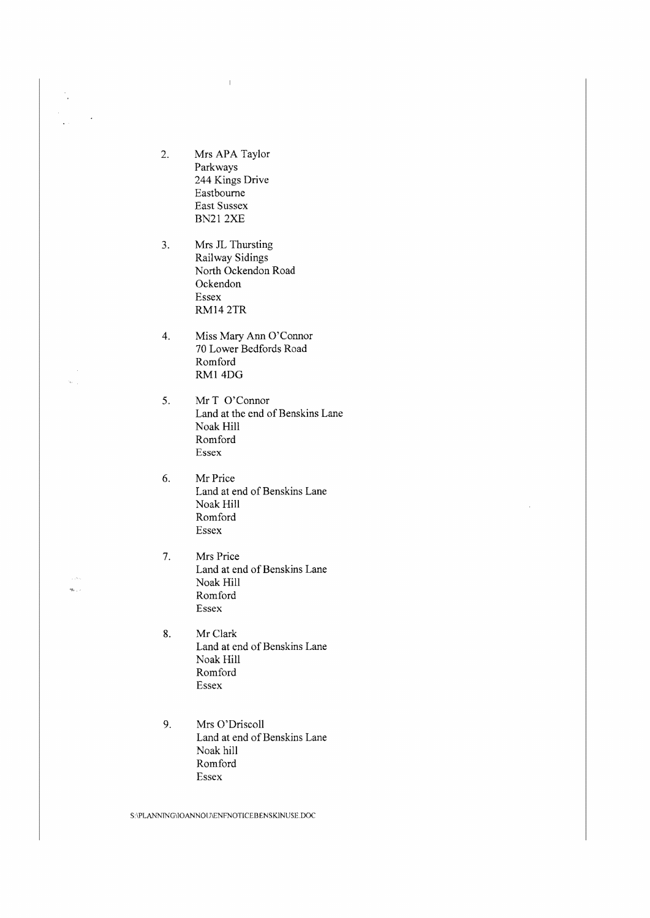2. Mrs APA Taylor Parkways 244 Kings Drive Eastbourne Fast Sussex BN21 2XE

 $\mathbb T$ 

 $\frac{1}{2}$ 

.<br>...  $\dot{\phi}_{\rm{eff}}$  , ,

- 3. Mrs JL Thursting Railway Sidings North Ockendon Road Ockendon Essex M114 2TR
- 4. Miss Mary Ann O'Connor 70 Lower Bedfords Road Romford RMI 4DG
- 5. Mr T O'Connor Land at the end of Benskins Lane Noak Hill Romford Essex
- 6. Mr Price Land at end of Benskins Lane Noak Hill Romford Essex
- 7. Mrs Price Land at end of Benskins Lane Noak Hill Romford Essex
- 8. Mr Clark Land at end of Benskins Lane Noak Hill Romford Essex
- 9. Mrs O'Driscoll Land at end of Benskins Lane Noak hill Romford Essex

S:\PLANNING\IOANNOU\ENFNOTICEBENSKINUSE.DOC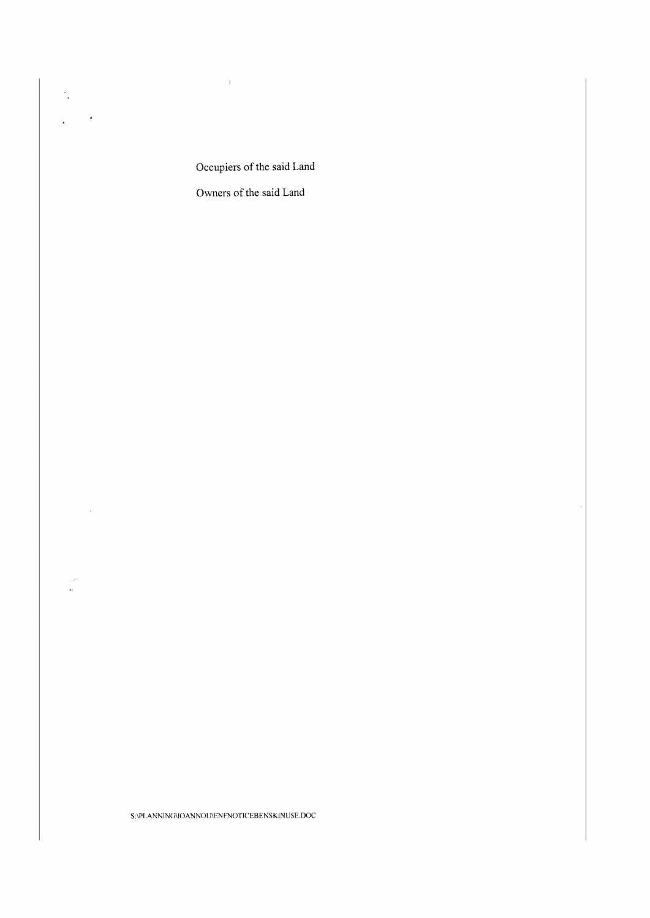Occupiers of the said Land

 $\mathcal{A}=\{1,2,3,4,5\}$  . The  $\mathcal{A}=\{1,2,3,4,5\}$ 

 $\sim 10^{-10}$ 

 $\frac{1}{\left|\mathbf{q}_1\right|}\neq 0$ 

Owners of the said Land

 $\textbf{S}\backslash\text{PLANNING}$ VOANNOU\ENFNOTICEBENSKINUSE.DOC